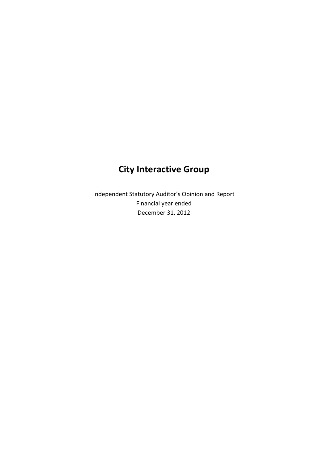# **City Interactive Group**

Independent Statutory Auditor's Opinion and Report Financial year ended December 31, 2012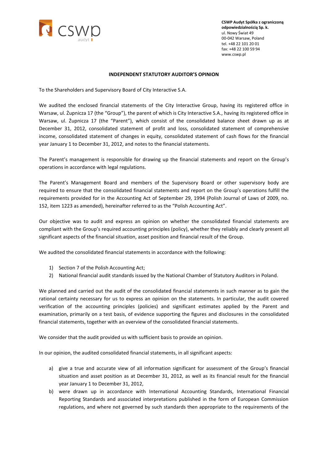

**CSWP Audyt Spółka z ograniczoną odpowiedzialnością Sp. k.** ul. Nowy Świat 49 00-042 Warsaw, Poland tel. +48 22 101 20 01 fax: +48 22 100 59 94 www.cswp.pl

#### **INDEPENDENT STATUTORY AUDITOR'S OPINION**

To the Shareholders and Supervisory Board of City Interactive S.A.

We audited the enclosed financial statements of the City Interactive Group, having its registered office in Warsaw, ul. Żupnicza 17 (the "Group"), the parent of which is City Interactive S.A., having its registered office in Warsaw, ul. Żupnicza 17 (the "Parent"), which consist of the consolidated balance sheet drawn up as at December 31, 2012, consolidated statement of profit and loss, consolidated statement of comprehensive income, consolidated statement of changes in equity, consolidated statement of cash flows for the financial year January 1 to December 31, 2012, and notes to the financial statements.

The Parent's management is responsible for drawing up the financial statements and report on the Group's operations in accordance with legal regulations.

The Parent's Management Board and members of the Supervisory Board or other supervisory body are required to ensure that the consolidated financial statements and report on the Group's operations fulfill the requirements provided for in the Accounting Act of September 29, 1994 (Polish Journal of Laws of 2009, no. 152, item 1223 as amended), hereinafter referred to as the "Polish Accounting Act".

Our objective was to audit and express an opinion on whether the consolidated financial statements are compliant with the Group's required accounting principles (policy), whether they reliably and clearly present all significant aspects of the financial situation, asset position and financial result of the Group.

We audited the consolidated financial statements in accordance with the following:

- 1) Section 7 of the Polish Accounting Act;
- 2) National financial audit standards issued by the National Chamber of Statutory Auditors in Poland.

We planned and carried out the audit of the consolidated financial statements in such manner as to gain the rational certainty necessary for us to express an opinion on the statements. In particular, the audit covered verification of the accounting principles (policies) and significant estimates applied by the Parent and examination, primarily on a test basis, of evidence supporting the figures and disclosures in the consolidated financial statements, together with an overview of the consolidated financial statements.

We consider that the audit provided us with sufficient basis to provide an opinion.

In our opinion, the audited consolidated financial statements, in all significant aspects:

- a) give a true and accurate view of all information significant for assessment of the Group's financial situation and asset position as at December 31, 2012, as well as its financial result for the financial year January 1 to December 31, 2012,
- b) were drawn up in accordance with International Accounting Standards, International Financial Reporting Standards and associated interpretations published in the form of European Commission regulations, and where not governed by such standards then appropriate to the requirements of the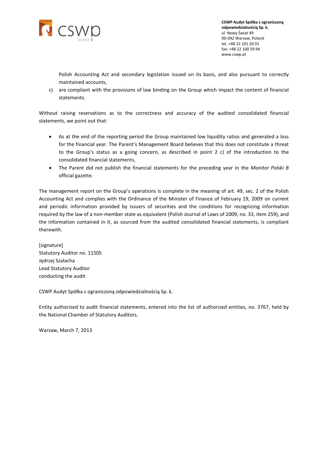

**CSWP Audyt Spółka z ograniczoną odpowiedzialnością Sp. k.** ul. Nowy Świat 49 00-042 Warsaw, Poland tel. +48 22 101 20 01 fax: +48 22 100 59 94 www.cswp.pl

Polish Accounting Act and secondary legislation issued on its basis, and also pursuant to correctly maintained accounts,

c) are compliant with the provisions of law binding on the Group which impact the content of financial statements.

Without raising reservations as to the correctness and accuracy of the audited consolidated financial statements, we point out that:

- As at the end of the reporting period the Group maintained low liquidity ratios and generated a loss for the financial year. The Parent's Management Board believes that this does not constitute a threat to the Group's status as a going concern, as described in point 2 c) of the introduction to the consolidated financial statements,
- The Parent did not publish the financial statements for the preceding year in the *Monitor Polski B* official gazette.

The management report on the Group's operations is complete in the meaning of art. 49, sec. 2 of the Polish Accounting Act and complies with the Ordinance of the Minister of Finance of February 19, 2009 on current and periodic information provided by issuers of securities and the conditions for recognizing information required by the law of a non-member state as equivalent (Polish Journal of Laws of 2009, no. 33, item 259), and the information contained in it, as sourced from the audited consolidated financial statements, is compliant therewith.

[signature] Statutory Auditor no. 11505 Jędrzej Szalacha Lead Statutory Auditor conducting the audit

CSWP Audyt Spółka z ograniczoną odpowiedzialnością Sp. k.

Entity authorized to audit financial statements, entered into the list of authorized entities, no. 3767, held by the National Chamber of Statutory Auditors.

Warsaw, March 7, 2013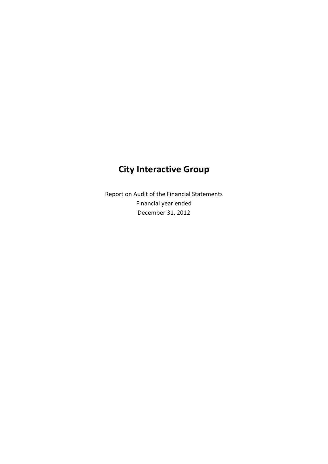# **City Interactive Group**

Report on Audit of the Financial Statements Financial year ended December 31, 2012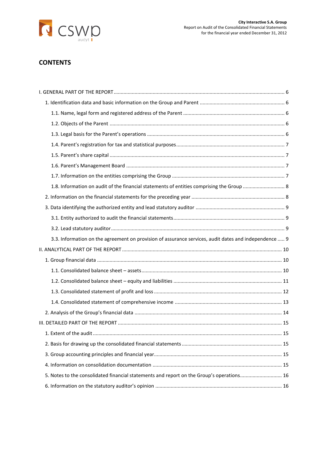

# **CONTENTS**

| 1.8. Information on audit of the financial statements of entities comprising the Group  8             |  |
|-------------------------------------------------------------------------------------------------------|--|
|                                                                                                       |  |
|                                                                                                       |  |
|                                                                                                       |  |
|                                                                                                       |  |
| 3.3. Information on the agreement on provision of assurance services, audit dates and independence  9 |  |
|                                                                                                       |  |
|                                                                                                       |  |
|                                                                                                       |  |
|                                                                                                       |  |
|                                                                                                       |  |
|                                                                                                       |  |
|                                                                                                       |  |
|                                                                                                       |  |
|                                                                                                       |  |
|                                                                                                       |  |
|                                                                                                       |  |
|                                                                                                       |  |
| 5. Notes to the consolidated financial statements and report on the Group's operations 16             |  |
|                                                                                                       |  |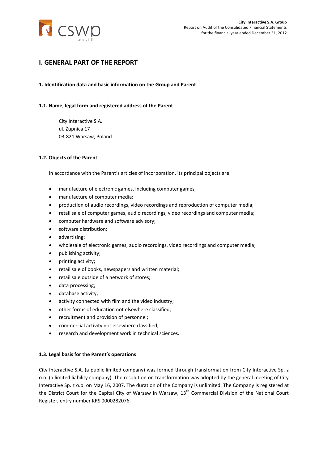

# <span id="page-5-0"></span>**I. GENERAL PART OF THE REPORT**

#### <span id="page-5-1"></span>**1. Identification data and basic information on the Group and Parent**

#### <span id="page-5-2"></span>**1.1. Name, legal form and registered address of the Parent**

City Interactive S.A. ul. Żupnica 17 03-821 Warsaw, Poland

#### <span id="page-5-3"></span>**1.2. Objects of the Parent**

In accordance with the Parent's articles of incorporation, its principal objects are:

- manufacture of electronic games, including computer games,
- manufacture of computer media;
- production of audio recordings, video recordings and reproduction of computer media;
- retail sale of computer games, audio recordings, video recordings and computer media;
- computer hardware and software advisory;
- software distribution;
- advertising;
- wholesale of electronic games, audio recordings, video recordings and computer media;
- publishing activity;
- printing activity;
- retail sale of books, newspapers and written material;
- retail sale outside of a network of stores;
- data processing;
- database activity;
- activity connected with film and the video industry;
- other forms of education not elsewhere classified;
- recruitment and provision of personnel;
- commercial activity not elsewhere classified;
- research and development work in technical sciences.

#### <span id="page-5-4"></span>**1.3. Legal basis for the Parent's operations**

City Interactive S.A. (a public limited company) was formed through transformation from City Interactive Sp. z o.o. (a limited liability company). The resolution on transformation was adopted by the general meeting of City Interactive Sp. z o.o. on May 16, 2007. The duration of the Company is unlimited. The Company is registered at the District Court for the Capital City of Warsaw in Warsaw, 13<sup>th</sup> Commercial Division of the National Court Register, entry number KRS 0000282076.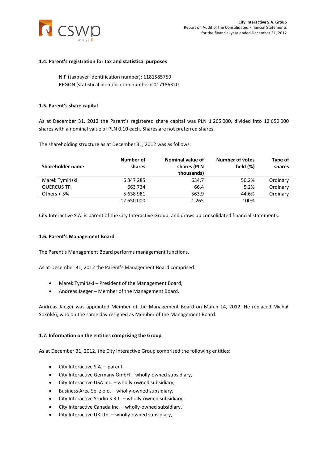

#### <span id="page-6-0"></span>**1.4. Parent's registration for tax and statistical purposes**

NIP (taxpayer identification number): 1181585759 REGON (statistical identification number): 017186320

#### <span id="page-6-1"></span>**1.5. Parent's share capital**

As at December 31, 2012 the Parent's registered share capital was PLN 1 265 000, divided into 12 650 000 shares with a nominal value of PLN 0.10 each. Shares are not preferred shares.

The shareholding structure as at December 31, 2012 was as follows:

| Shareholder name   | Number of<br>shares | Nominal value of<br>shares (PLN<br>thousands) | <b>Number of votes</b><br>held $(\%)$ | Type of<br>shares |
|--------------------|---------------------|-----------------------------------------------|---------------------------------------|-------------------|
| Marek Tymiński     | 6 347 285           | 634.7                                         | 50.2%                                 | Ordinary          |
| <b>QUERCUS TFI</b> | 663 734             | 66.4                                          | 5.2%                                  | Ordinary          |
| Others $< 5\%$     | 5 638 981           | 563.9                                         | 44.6%                                 | Ordinary          |
|                    | 12 650 000          | 1 2 6 5                                       | 100%                                  |                   |

City Interactive S.A. is parent of the City Interactive Group, and draws up consolidated financial statements.

#### <span id="page-6-2"></span>**1.6. Parent's Management Board**

The Parent's Management Board performs management functions.

As at December 31, 2012 the Parent's Management Board comprised:

- Marek Tymiński President of the Management Board,
- Andreas Jaeger Member of the Management Board.

Andreas Jaeger was appointed Member of the Management Board on March 14, 2012. He replaced Michał Sokolski, who on the same day resigned as Member of the Management Board.

#### <span id="page-6-3"></span>**1.7. Information on the entities comprising the Group**

As at December 31, 2012, the City Interactive Group comprised the following entities:

- City Interactive S.A. parent,
- City Interactive Germany GmbH wholly-owned subsidiary,
- City Interactive USA Inc. wholly-owned subsidiary,
- Business Area Sp. z o.o. wholly-owned subsidiary,
- City Interactive Studio S.R.L. wholly-owned subsidiary,
- City Interactive Canada Inc. wholly-owned subsidiary,
- City Interactive UK Ltd. wholly-owned subsidiary,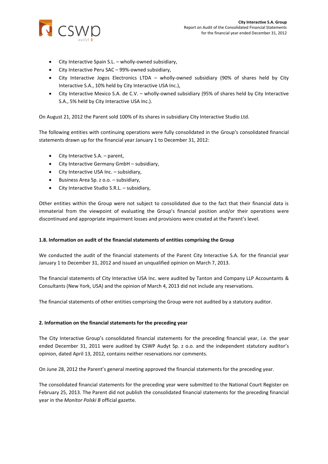

- City Interactive Spain S.L. wholly-owned subsidiary,
- City Interactive Peru SAC 99%-owned subsidiary,
- City Interactive Jogos Electronics LTDA wholly-owned subsidiary (90% of shares held by City Interactive S.A., 10% held by City Interactive USA Inc.),
- City Interactive Mexico S.A. de C.V. wholly-owned subsidiary (95% of shares held by City Interactive S.A., 5% held by City Interactive USA Inc.).

On August 21, 2012 the Parent sold 100% of its shares in subsidiary City Interactive Studio Ltd.

The following entities with continuing operations were fully consolidated in the Group's consolidated financial statements drawn up for the financial year January 1 to December 31, 2012:

- City Interactive S.A. parent,
- City Interactive Germany GmbH subsidiary,
- City Interactive USA Inc. subsidiary,
- Business Area Sp. z o.o. subsidiary,
- City Interactive Studio S.R.L. subsidiary,

Other entities within the Group were not subject to consolidated due to the fact that their financial data is immaterial from the viewpoint of evaluating the Group's financial position and/or their operations were discontinued and appropriate impairment losses and provisions were created at the Parent's level.

# <span id="page-7-0"></span>**1.8. Information on audit of the financial statements of entities comprising the Group**

We conducted the audit of the financial statements of the Parent City Interactive S.A. for the financial year January 1 to December 31, 2012 and issued an unqualified opinion on March 7, 2013.

The financial statements of City Interactive USA Inc. were audited by Tanton and Company LLP Accountants & Consultants (New York, USA) and the opinion of March 4, 2013 did not include any reservations.

The financial statements of other entities comprising the Group were not audited by a statutory auditor.

# <span id="page-7-1"></span>**2. Information on the financial statements for the preceding year**

The City Interactive Group's consolidated financial statements for the preceding financial year, i.e. the year ended December 31, 2011 were audited by CSWP Audyt Sp. z o.o. and the independent statutory auditor's opinion, dated April 13, 2012, contains neither reservations nor comments.

On June 28, 2012 the Parent's general meeting approved the financial statements for the preceding year.

The consolidated financial statements for the preceding year were submitted to the National Court Register on February 25, 2013. The Parent did not publish the consolidated financial statements for the preceding financial year in the *Monitor Polski B* official gazette.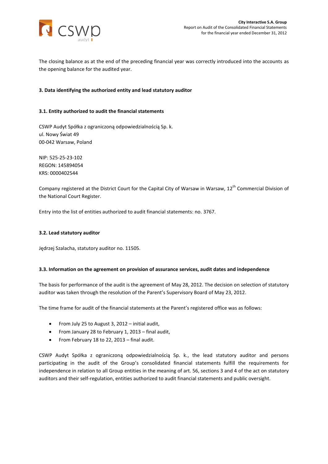

The closing balance as at the end of the preceding financial year was correctly introduced into the accounts as the opening balance for the audited year.

## <span id="page-8-0"></span>**3. Data identifying the authorized entity and lead statutory auditor**

#### <span id="page-8-1"></span>**3.1. Entity authorized to audit the financial statements**

CSWP Audyt Spółka z ograniczoną odpowiedzialnością Sp. k. ul. Nowy Świat 49 00-042 Warsaw, Poland

NIP: 525-25-23-102 REGON: 145894054 KRS: 0000402544

Company registered at the District Court for the Capital City of Warsaw in Warsaw, 12<sup>th</sup> Commercial Division of the National Court Register.

Entry into the list of entities authorized to audit financial statements: no. 3767.

#### <span id="page-8-2"></span>**3.2. Lead statutory auditor**

Jędrzej Szalacha, statutory auditor no. 11505.

#### <span id="page-8-3"></span>**3.3. Information on the agreement on provision of assurance services, audit dates and independence**

The basis for performance of the audit is the agreement of May 28, 2012. The decision on selection of statutory auditor was taken through the resolution of the Parent's Supervisory Board of May 23, 2012.

The time frame for audit of the financial statements at the Parent's registered office was as follows:

- From July 25 to August 3, 2012 initial audit,
- From January 28 to February 1, 2013 final audit,
- From February 18 to 22, 2013 final audit.

CSWP Audyt Spółka z ograniczoną odpowiedzialnością Sp. k., the lead statutory auditor and persons participating in the audit of the Group's consolidated financial statements fulfill the requirements for independence in relation to all Group entities in the meaning of art. 56, sections 3 and 4 of the act on statutory auditors and their self-regulation, entities authorized to audit financial statements and public oversight.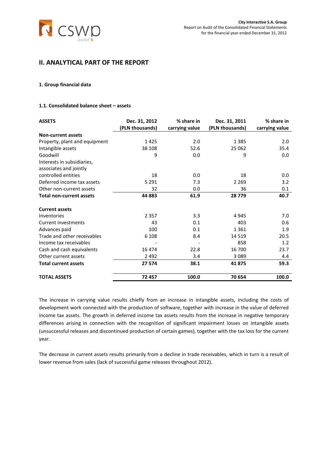

# <span id="page-9-0"></span>**II. ANALYTICAL PART OF THE REPORT**

#### <span id="page-9-1"></span>**1. Group financial data**

# <span id="page-9-2"></span>**1.1. Consolidated balance sheet – assets**

| <b>ASSETS</b>                   | Dec. 31, 2012   | % share in     | Dec. 31, 2011   | % share in     |
|---------------------------------|-----------------|----------------|-----------------|----------------|
|                                 | (PLN thousands) | carrying value | (PLN thousands) | carrying value |
| <b>Non-current assets</b>       |                 |                |                 |                |
| Property, plant and equipment   | 1425            | 2.0            | 1 3 8 5         | 2.0            |
| Intangible assets               | 38 108          | 52.6           | 25 062          | 35.4           |
| Goodwill                        | 9               | 0.0            | 9               | 0.0            |
| Interests in subsidiaries,      |                 |                |                 |                |
| associates and jointly          |                 |                |                 |                |
| controlled entities             | 18              | 0.0            | 18              | 0.0            |
| Deferred income tax assets      | 5 2 9 1         | 7.3            | 2 2 6 9         | 3.2            |
| Other non-current assets        | 32              | 0.0            | 36              | 0.1            |
| <b>Total non-current assets</b> | 44 883          | 61.9           | 28779           | 40.7           |
| <b>Current assets</b>           |                 |                |                 |                |
| Inventories                     | 2 3 5 7         | 3.3            | 4 9 4 5         | 7.0            |
| Current investments             | 43              | 0.1            | 403             | 0.6            |
| Advances paid                   | 100             | 0.1            | 1 3 6 1         | 1.9            |
| Trade and other receivables     | 6 1 0 8         | 8.4            | 14 5 19         | 20.5           |
| Income tax receivables          |                 |                | 858             | 1.2            |
| Cash and cash equivalents       | 16 474          | 22.8           | 16 700          | 23.7           |
| Other current assets            | 2 4 9 2         | 3.4            | 3089            | 4.4            |
| <b>Total current assets</b>     | 27 574          | 38.1           | 41875           | 59.3           |
| <b>TOTAL ASSETS</b>             | 72 457          | 100.0          | 70 654          | 100.0          |

The increase in carrying value results chiefly from an increase in intangible assets, including the costs of development work connected with the production of software, together with increase in the value of deferred income tax assets. The growth in deferred income tax assets results from the increase in negative temporary differences arising in connection with the recognition of significant impairment losses on intangible assets (unsuccessful releases and discontinued production of certain games), together with the tax loss for the current year.

The decrease in current assets results primarily from a decline in trade receivables, which in turn is a result of lower revenue from sales (lack of successful game releases throughout 2012).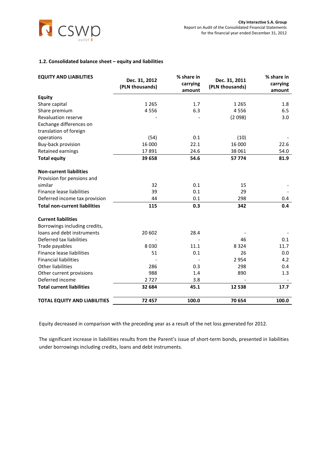

## <span id="page-10-0"></span>**1.2. Consolidated balance sheet – equity and liabilities**

| <b>EQUITY AND LIABILITIES</b>        | Dec. 31, 2012<br>(PLN thousands) | % share in<br>carrying<br>amount | Dec. 31, 2011<br>(PLN thousands) | % share in<br>carrying<br>amount |
|--------------------------------------|----------------------------------|----------------------------------|----------------------------------|----------------------------------|
| <b>Equity</b>                        |                                  |                                  |                                  |                                  |
| Share capital                        | 1 2 6 5                          | 1.7                              | 1 2 6 5                          | 1.8                              |
| Share premium                        | 4556                             | 6.3                              | 4556                             | 6.5                              |
| <b>Revaluation reserve</b>           |                                  |                                  | (2098)                           | 3.0                              |
| Exchange differences on              |                                  |                                  |                                  |                                  |
| translation of foreign               |                                  |                                  |                                  |                                  |
| operations                           | (54)                             | 0.1                              | (10)                             |                                  |
| Buy-back provision                   | 16 000                           | 22.1                             | 16 000                           | 22.6                             |
| Retained earnings                    | 17891                            | 24.6                             | 38 061                           | 54.0                             |
| <b>Total equity</b>                  | 39 658                           | 54.6                             | 57774                            | 81.9                             |
| <b>Non-current liabilities</b>       |                                  |                                  |                                  |                                  |
| Provision for pensions and           |                                  |                                  |                                  |                                  |
| similar                              | 32                               | 0.1                              | 15                               |                                  |
| Finance lease liabilities            | 39                               | 0.1                              | 29                               |                                  |
| Deferred income tax provision        | 44                               | 0.1                              | 298                              | 0.4                              |
| <b>Total non-current liabilities</b> | 115                              | 0.3                              | 342                              | 0.4                              |
| <b>Current liabilities</b>           |                                  |                                  |                                  |                                  |
| Borrowings including credits,        |                                  |                                  |                                  |                                  |
| loans and debt instruments           | 20 602                           | 28.4                             |                                  |                                  |
| Deferred tax liabilities             |                                  |                                  | 46                               | 0.1                              |
| Trade payables                       | 8030                             | 11.1                             | 8 3 2 4                          | 11.7                             |
| Finance lease liabilities            | 51                               | 0.1                              | 26                               | 0.0                              |
| <b>Financial liabilities</b>         |                                  |                                  | 2954                             | 4.2                              |
| <b>Other liabilities</b>             | 286                              | 0.3                              | 298                              | 0.4                              |
| Other current provisions             | 988                              | 1.4                              | 890                              | 1.3                              |
| Deferred income                      | 2727                             | 3.8                              |                                  |                                  |
| <b>Total current liabilities</b>     | 32 684                           | 45.1                             | 12 5 38                          | 17.7                             |
| <b>TOTAL EQUITY AND LIABILITIES</b>  | 72 457                           | 100.0                            | 70 654                           | 100.0                            |

Equity decreased in comparison with the preceding year as a result of the net loss generated for 2012.

The significant increase in liabilities results from the Parent's issue of short-term bonds, presented in liabilities under borrowings including credits, loans and debt instruments.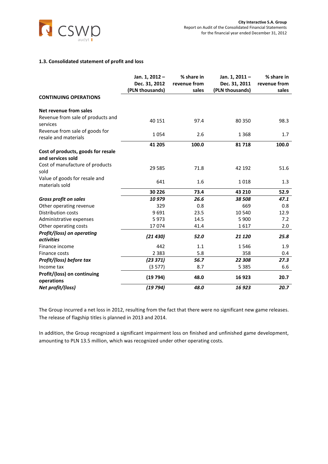

### <span id="page-11-0"></span>**1.3. Consolidated statement of profit and loss**

|                                                         | Jan. 1, 2012-                    | % share in            | Jan. 1, 2011-                    | % share in            |
|---------------------------------------------------------|----------------------------------|-----------------------|----------------------------------|-----------------------|
|                                                         | Dec. 31, 2012<br>(PLN thousands) | revenue from<br>sales | Dec. 31, 2011<br>(PLN thousands) | revenue from<br>sales |
| <b>CONTINUING OPERATIONS</b>                            |                                  |                       |                                  |                       |
| Net revenue from sales                                  |                                  |                       |                                  |                       |
| Revenue from sale of products and<br>services           | 40 15 1                          | 97.4                  | 80 350                           | 98.3                  |
| Revenue from sale of goods for<br>resale and materials  | 1054                             | 2.6                   | 1 3 6 8                          | 1.7                   |
|                                                         | 41 205                           | 100.0                 | 81718                            | 100.0                 |
| Cost of products, goods for resale<br>and services sold |                                  |                       |                                  |                       |
| Cost of manufacture of products<br>sold                 | 29 5 8 5                         | 71.8                  | 42 192                           | 51.6                  |
| Value of goods for resale and<br>materials sold         | 641                              | 1.6                   | 1018                             | 1.3                   |
|                                                         | 30 226                           | 73.4                  | 43 210                           | 52.9                  |
| <b>Gross profit on sales</b>                            | 10979                            | 26.6                  | 38 508                           | 47.1                  |
| Other operating revenue                                 | 329                              | 0.8                   | 669                              | 0.8                   |
| <b>Distribution costs</b>                               | 9691                             | 23.5                  | 10 540                           | 12.9                  |
| Administrative expenses                                 | 5973                             | 14.5                  | 5 9 0 0                          | 7.2                   |
| Other operating costs                                   | 17074                            | 41.4                  | 1617                             | 2.0                   |
| Profit/(loss) on operating<br><i>activities</i>         | (21430)                          | 52.0                  | 21 1 20                          | 25.8                  |
| Finance income                                          | 442                              | 1.1                   | 1546                             | 1.9                   |
| Finance costs                                           | 2 3 8 3                          | 5.8                   | 358                              | 0.4                   |
| Profit/(loss) before tax                                | (23 371)                         | 56.7                  | 22 308                           | 27.3                  |
| Income tax                                              | (3577)                           | 8.7                   | 5 3 8 5                          | 6.6                   |
| Profit/(loss) on continuing<br>operations               | (19794)                          | 48.0                  | 16923                            | 20.7                  |
| Net profit/(loss)                                       | (19794)                          | 48.0                  | 16 923                           | 20.7                  |

The Group incurred a net loss in 2012, resulting from the fact that there were no significant new game releases. The release of flagship titles is planned in 2013 and 2014.

In addition, the Group recognized a significant impairment loss on finished and unfinished game development, amounting to PLN 13.5 million, which was recognized under other operating costs.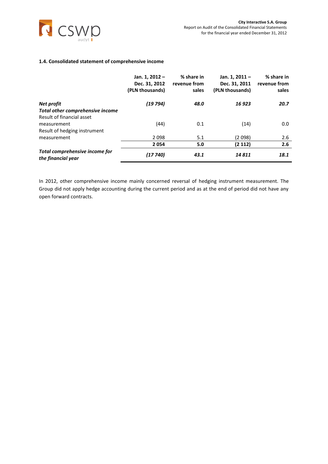

#### <span id="page-12-0"></span>**1.4. Consolidated statement of comprehensive income**

|                                                      | Jan. 1, 2012 -<br>Dec. 31, 2012<br>(PLN thousands) | % share in<br>revenue from<br>sales | Jan. 1, 2011 -<br>Dec. 31, 2011<br>(PLN thousands) | % share in<br>revenue from<br>sales |
|------------------------------------------------------|----------------------------------------------------|-------------------------------------|----------------------------------------------------|-------------------------------------|
| Net profit                                           | (19 794)                                           | 48.0                                | 16923                                              | 20.7                                |
| Total other comprehensive income                     |                                                    |                                     |                                                    |                                     |
| Result of financial asset                            |                                                    |                                     |                                                    |                                     |
| measurement                                          | (44)                                               | 0.1                                 | (14)                                               | 0.0                                 |
| Result of hedging instrument                         |                                                    |                                     |                                                    |                                     |
| measurement                                          | 2098                                               | 5.1                                 | (2098)                                             | 2.6                                 |
|                                                      | 2054                                               | 5.0                                 | (2 112)                                            | 2.6                                 |
| Total comprehensive income for<br>the financial year | (17 740)                                           | 43.1                                | 14811                                              | 18.1                                |

In 2012, other comprehensive income mainly concerned reversal of hedging instrument measurement. The Group did not apply hedge accounting during the current period and as at the end of period did not have any open forward contracts.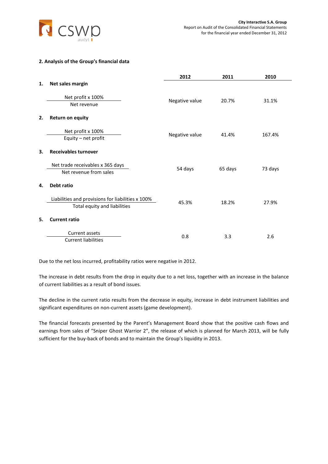

### <span id="page-13-0"></span>**2. Analysis of the Group's financial data**

|    |                                                                                   | 2012           | 2011    | 2010    |
|----|-----------------------------------------------------------------------------------|----------------|---------|---------|
| 1. | Net sales margin                                                                  |                |         |         |
|    | Net profit x 100%<br>Net revenue                                                  | Negative value | 20.7%   | 31.1%   |
| 2. | <b>Return on equity</b>                                                           |                |         |         |
|    | Net profit x 100%<br>Equity - net profit                                          | Negative value | 41.4%   | 167.4%  |
| 3. | <b>Receivables turnover</b>                                                       |                |         |         |
|    | Net trade receivables x 365 days<br>Net revenue from sales                        | 54 days        | 65 days | 73 days |
| 4. | Debt ratio                                                                        |                |         |         |
|    | Liabilities and provisions for liabilities x 100%<br>Total equity and liabilities | 45.3%          | 18.2%   | 27.9%   |
| 5. | <b>Current ratio</b>                                                              |                |         |         |
|    | Current assets<br><b>Current liabilities</b>                                      | 0.8            | 3.3     | 2.6     |

Due to the net loss incurred, profitability ratios were negative in 2012.

The increase in debt results from the drop in equity due to a net loss, together with an increase in the balance of current liabilities as a result of bond issues.

The decline in the current ratio results from the decrease in equity, increase in debt instrument liabilities and significant expenditures on non-current assets (game development).

The financial forecasts presented by the Parent's Management Board show that the positive cash flows and earnings from sales of "Sniper Ghost Warrior 2", the release of which is planned for March 2013, will be fully sufficient for the buy-back of bonds and to maintain the Group's liquidity in 2013.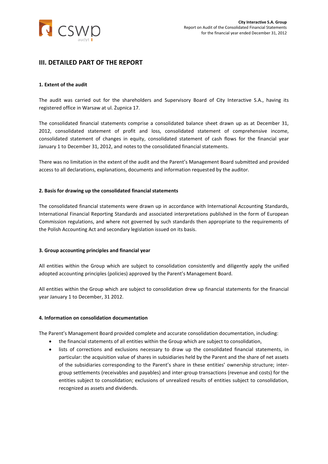

# <span id="page-14-0"></span>**III. DETAILED PART OF THE REPORT**

#### <span id="page-14-1"></span>**1. Extent of the audit**

The audit was carried out for the shareholders and Supervisory Board of City Interactive S.A., having its registered office in Warsaw at ul. Żupnica 17.

The consolidated financial statements comprise a consolidated balance sheet drawn up as at December 31, 2012, consolidated statement of profit and loss, consolidated statement of comprehensive income, consolidated statement of changes in equity, consolidated statement of cash flows for the financial year January 1 to December 31, 2012, and notes to the consolidated financial statements.

There was no limitation in the extent of the audit and the Parent's Management Board submitted and provided access to all declarations, explanations, documents and information requested by the auditor.

#### <span id="page-14-2"></span>**2. Basis for drawing up the consolidated financial statements**

The consolidated financial statements were drawn up in accordance with International Accounting Standards, International Financial Reporting Standards and associated interpretations published in the form of European Commission regulations, and where not governed by such standards then appropriate to the requirements of the Polish Accounting Act and secondary legislation issued on its basis.

#### <span id="page-14-3"></span>**3. Group accounting principles and financial year**

All entities within the Group which are subject to consolidation consistently and diligently apply the unified adopted accounting principles (policies) approved by the Parent's Management Board.

All entities within the Group which are subject to consolidation drew up financial statements for the financial year January 1 to December, 31 2012.

#### <span id="page-14-4"></span>**4. Information on consolidation documentation**

The Parent's Management Board provided complete and accurate consolidation documentation, including:

- the financial statements of all entities within the Group which are subject to consolidation,
- lists of corrections and exclusions necessary to draw up the consolidated financial statements, in particular: the acquisition value of shares in subsidiaries held by the Parent and the share of net assets of the subsidiaries corresponding to the Parent's share in these entities' ownership structure; intergroup settlements (receivables and payables) and inter-group transactions (revenue and costs) for the entities subject to consolidation; exclusions of unrealized results of entities subject to consolidation, recognized as assets and dividends.